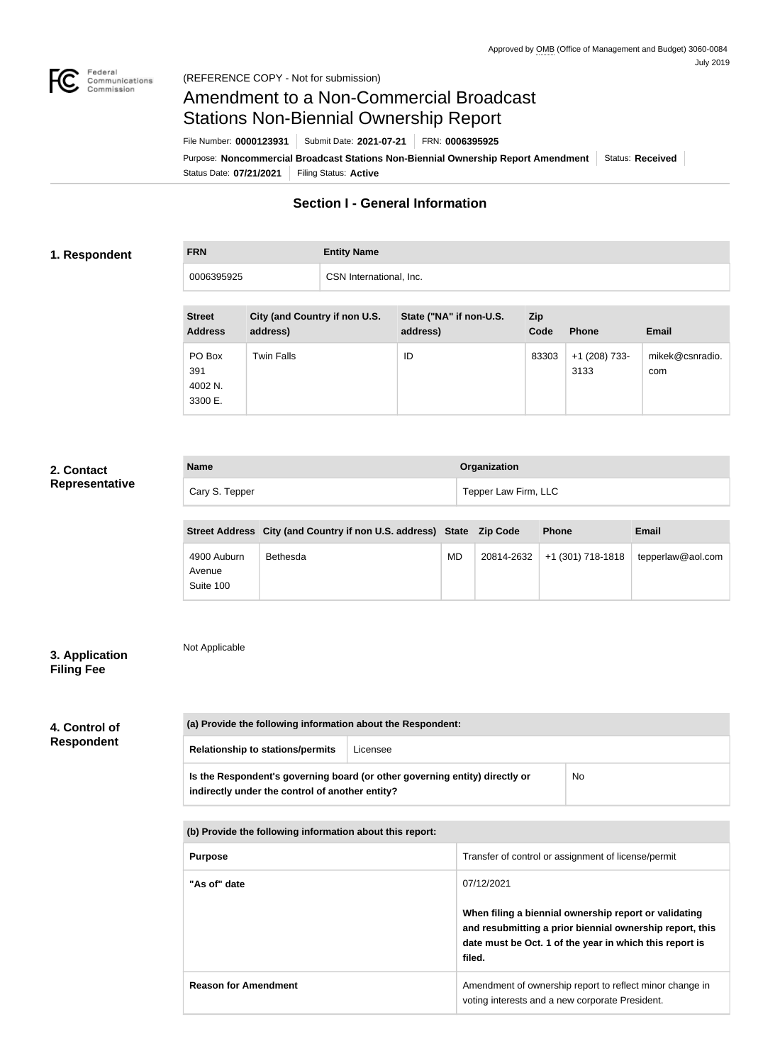

## Amendment to a Non-Commercial Broadcast Stations Non-Biennial Ownership Report

| File Number: 0000123931                                                           | Submit Date: 2021-07-21 | FRN: 0006395925 |                  |
|-----------------------------------------------------------------------------------|-------------------------|-----------------|------------------|
| Purpose: Noncommercial Broadcast Stations Non-Biennial Ownership Report Amendment |                         |                 | Status: Received |
| Status Date: 07/21/2021                                                           | Filing Status: Active   |                 |                  |

#### **Section I - General Information**

#### **1. Respondent**

# **FRN Entity Name** 0006395925 CSN International, Inc.

| <b>Street</b><br><b>Address</b>     | City (and Country if non U.S.<br>address) | State ("NA" if non-U.S.<br>address) | <b>Zip</b><br>Code | <b>Phone</b>            | <b>Email</b>           |
|-------------------------------------|-------------------------------------------|-------------------------------------|--------------------|-------------------------|------------------------|
| PO Box<br>391<br>4002 N.<br>3300 E. | <b>Twin Falls</b>                         | ID                                  | 83303              | $+1$ (208) 733-<br>3133 | mikek@csnradio.<br>com |

#### **2. Contact Representative**

| <b>Name</b>    | Organization         |
|----------------|----------------------|
| Cary S. Tepper | Tepper Law Firm, LLC |

|                                    | Street Address City (and Country if non U.S. address) State Zip Code |    |            | <b>Phone</b>      | Email             |
|------------------------------------|----------------------------------------------------------------------|----|------------|-------------------|-------------------|
| 4900 Auburn<br>Avenue<br>Suite 100 | Bethesda                                                             | MD | 20814-2632 | +1 (301) 718-1818 | tepperlaw@aol.com |

#### **3. Application Filing Fee**

Not Applicable

#### **4. Control of Respondent**

| (a) Provide the following information about the Respondent:                                                                    |          |    |
|--------------------------------------------------------------------------------------------------------------------------------|----------|----|
| <b>Relationship to stations/permits</b>                                                                                        | Licensee |    |
| Is the Respondent's governing board (or other governing entity) directly or<br>indirectly under the control of another entity? |          | No |

**(b) Provide the following information about this report:**

| <b>Purpose</b>              | Transfer of control or assignment of license/permit                                                                                                                                    |
|-----------------------------|----------------------------------------------------------------------------------------------------------------------------------------------------------------------------------------|
| "As of" date                | 07/12/2021                                                                                                                                                                             |
|                             | When filing a biennial ownership report or validating<br>and resubmitting a prior biennial ownership report, this<br>date must be Oct. 1 of the year in which this report is<br>filed. |
| <b>Reason for Amendment</b> | Amendment of ownership report to reflect minor change in<br>voting interests and a new corporate President.                                                                            |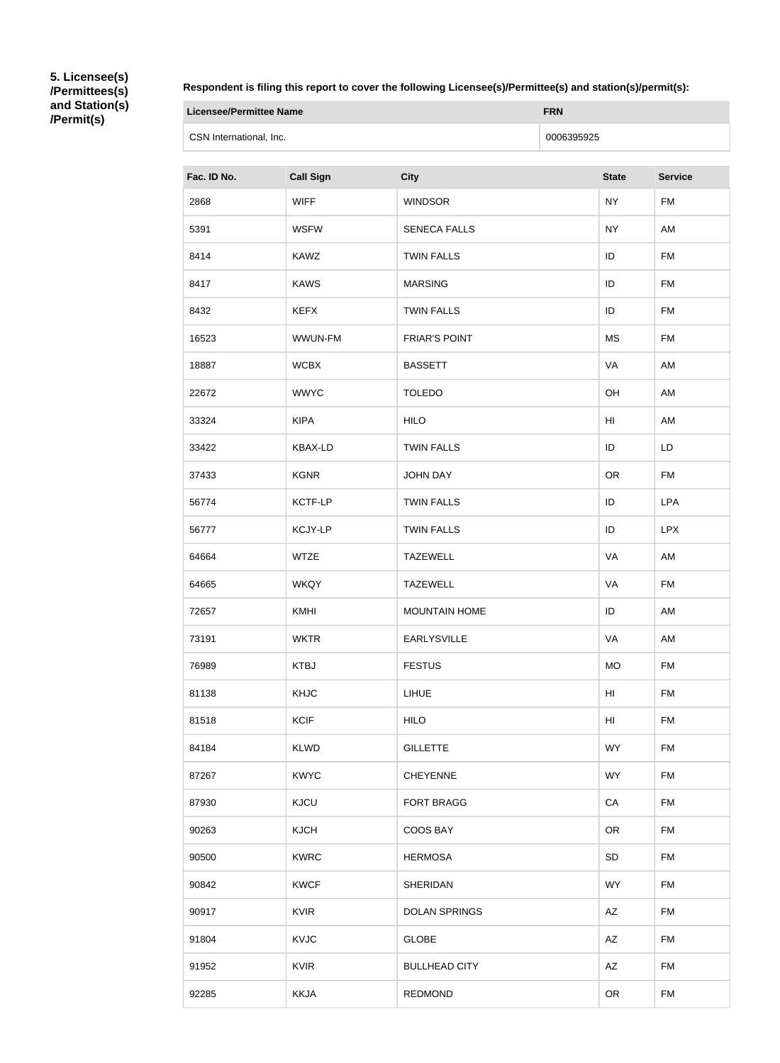**5. Licensee(s) /Permittees(s) and Station(s) /Permit(s)**

**Respondent is filing this report to cover the following Licensee(s)/Permittee(s) and station(s)/permit(s):**

| Licensee/Permittee Name | <b>FRN</b> |
|-------------------------|------------|
| CSN International, Inc. | 0006395925 |

| Fac. ID No. | <b>Call Sign</b> | <b>City</b>          | <b>State</b> | <b>Service</b> |
|-------------|------------------|----------------------|--------------|----------------|
| 2868        | <b>WIFF</b>      | <b>WINDSOR</b>       | <b>NY</b>    | FM             |
| 5391        | <b>WSFW</b>      | <b>SENECA FALLS</b>  | <b>NY</b>    | AM             |
| 8414        | <b>KAWZ</b>      | <b>TWIN FALLS</b>    | ID           | <b>FM</b>      |
| 8417        | <b>KAWS</b>      | <b>MARSING</b>       | ID           | <b>FM</b>      |
| 8432        | <b>KEFX</b>      | <b>TWIN FALLS</b>    | ID           | FM             |
| 16523       | WWUN-FM          | <b>FRIAR'S POINT</b> | <b>MS</b>    | <b>FM</b>      |
| 18887       | <b>WCBX</b>      | <b>BASSETT</b>       | VA           | AM             |
| 22672       | <b>WWYC</b>      | <b>TOLEDO</b>        | OH           | AM             |
| 33324       | <b>KIPA</b>      | <b>HILO</b>          | HI           | AM             |
| 33422       | <b>KBAX-LD</b>   | <b>TWIN FALLS</b>    | ID           | LD             |
| 37433       | <b>KGNR</b>      | <b>JOHN DAY</b>      | <b>OR</b>    | FM             |
| 56774       | KCTF-LP          | <b>TWIN FALLS</b>    | ID           | <b>LPA</b>     |
| 56777       | <b>KCJY-LP</b>   | <b>TWIN FALLS</b>    | ID           | <b>LPX</b>     |
| 64664       | <b>WTZE</b>      | <b>TAZEWELL</b>      | VA           | AM             |
| 64665       | <b>WKQY</b>      | <b>TAZEWELL</b>      | VA           | <b>FM</b>      |
| 72657       | <b>KMHI</b>      | <b>MOUNTAIN HOME</b> | ID           | AM             |
| 73191       | <b>WKTR</b>      | <b>EARLYSVILLE</b>   | VA           | AM             |
| 76989       | <b>KTBJ</b>      | <b>FESTUS</b>        | <b>MO</b>    | <b>FM</b>      |
| 81138       | <b>KHJC</b>      | <b>LIHUE</b>         | HI           | FM             |
| 81518       | <b>KCIF</b>      | <b>HILO</b>          | HI           | FM             |
| 84184       | <b>KLWD</b>      | <b>GILLETTE</b>      | <b>WY</b>    | <b>FM</b>      |
| 87267       | <b>KWYC</b>      | <b>CHEYENNE</b>      | <b>WY</b>    | <b>FM</b>      |
| 87930       | <b>KJCU</b>      | <b>FORT BRAGG</b>    | CA           | FM             |
| 90263       | <b>KJCH</b>      | COOS BAY             | <b>OR</b>    | FM             |
| 90500       | <b>KWRC</b>      | <b>HERMOSA</b>       | SD           | <b>FM</b>      |
| 90842       | <b>KWCF</b>      | <b>SHERIDAN</b>      | <b>WY</b>    | <b>FM</b>      |
| 90917       | <b>KVIR</b>      | <b>DOLAN SPRINGS</b> | AZ           | <b>FM</b>      |
| 91804       | <b>KVJC</b>      | <b>GLOBE</b>         | AZ           | FM             |
| 91952       | <b>KVIR</b>      | <b>BULLHEAD CITY</b> | AZ           | FM             |
| 92285       | <b>KKJA</b>      | <b>REDMOND</b>       | <b>OR</b>    | FM             |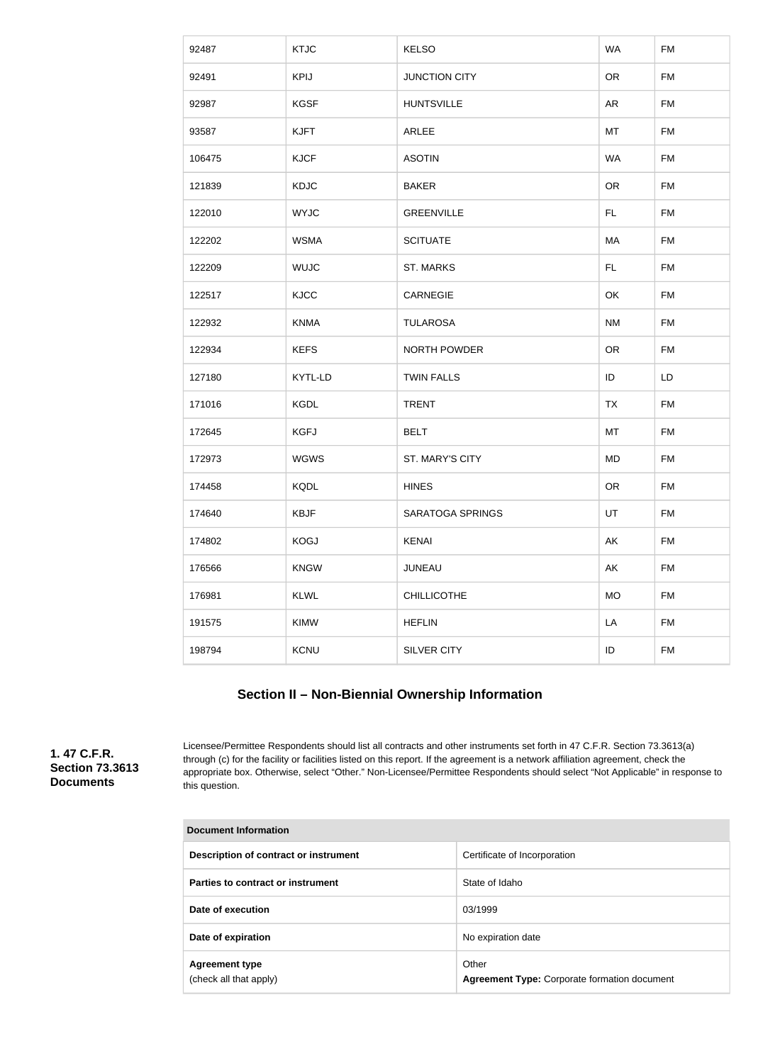| 92487  | <b>KTJC</b> | <b>KELSO</b>         | <b>WA</b> | <b>FM</b> |
|--------|-------------|----------------------|-----------|-----------|
| 92491  | <b>KPIJ</b> | <b>JUNCTION CITY</b> | <b>OR</b> | <b>FM</b> |
| 92987  | <b>KGSF</b> | <b>HUNTSVILLE</b>    | <b>AR</b> | <b>FM</b> |
| 93587  | <b>KJFT</b> | ARLEE                | MT        | <b>FM</b> |
| 106475 | <b>KJCF</b> | <b>ASOTIN</b>        | <b>WA</b> | <b>FM</b> |
| 121839 | <b>KDJC</b> | <b>BAKER</b>         | OR        | <b>FM</b> |
| 122010 | <b>WYJC</b> | <b>GREENVILLE</b>    | <b>FL</b> | <b>FM</b> |
| 122202 | <b>WSMA</b> | <b>SCITUATE</b>      | MA        | <b>FM</b> |
| 122209 | <b>WUJC</b> | <b>ST. MARKS</b>     | <b>FL</b> | <b>FM</b> |
| 122517 | <b>KJCC</b> | <b>CARNEGIE</b>      | OK        | <b>FM</b> |
| 122932 | <b>KNMA</b> | <b>TULAROSA</b>      | <b>NM</b> | <b>FM</b> |
| 122934 | <b>KEFS</b> | <b>NORTH POWDER</b>  | OR        | <b>FM</b> |
| 127180 | KYTL-LD     | <b>TWIN FALLS</b>    | ID        | LD        |
| 171016 | <b>KGDL</b> | <b>TRENT</b>         | <b>TX</b> | <b>FM</b> |
| 172645 | <b>KGFJ</b> | <b>BELT</b>          | MT        | <b>FM</b> |
| 172973 | <b>WGWS</b> | ST. MARY'S CITY      | <b>MD</b> | <b>FM</b> |
| 174458 | <b>KQDL</b> | <b>HINES</b>         | OR        | <b>FM</b> |
| 174640 | <b>KBJF</b> | SARATOGA SPRINGS     | UT        | <b>FM</b> |
| 174802 | <b>KOGJ</b> | <b>KENAI</b>         | AK        | <b>FM</b> |
| 176566 | <b>KNGW</b> | JUNEAU               | AK        | <b>FM</b> |
| 176981 | <b>KLWL</b> | <b>CHILLICOTHE</b>   | <b>MO</b> | <b>FM</b> |
| 191575 | KIMW        | <b>HEFLIN</b>        | LA        | <b>FM</b> |
| 198794 | KCNU        | SILVER CITY          | ID        | <b>FM</b> |

### **Section II – Non-Biennial Ownership Information**

**1. 47 C.F.R. Section 73.3613 Documents**

Licensee/Permittee Respondents should list all contracts and other instruments set forth in 47 C.F.R. Section 73.3613(a) through (c) for the facility or facilities listed on this report. If the agreement is a network affiliation agreement, check the appropriate box. Otherwise, select "Other." Non-Licensee/Permittee Respondents should select "Not Applicable" in response to this question.

| Document Information                            |                                                              |
|-------------------------------------------------|--------------------------------------------------------------|
| Description of contract or instrument           | Certificate of Incorporation                                 |
| Parties to contract or instrument               | State of Idaho                                               |
| Date of execution                               | 03/1999                                                      |
| Date of expiration                              | No expiration date                                           |
| <b>Agreement type</b><br>(check all that apply) | Other<br><b>Agreement Type: Corporate formation document</b> |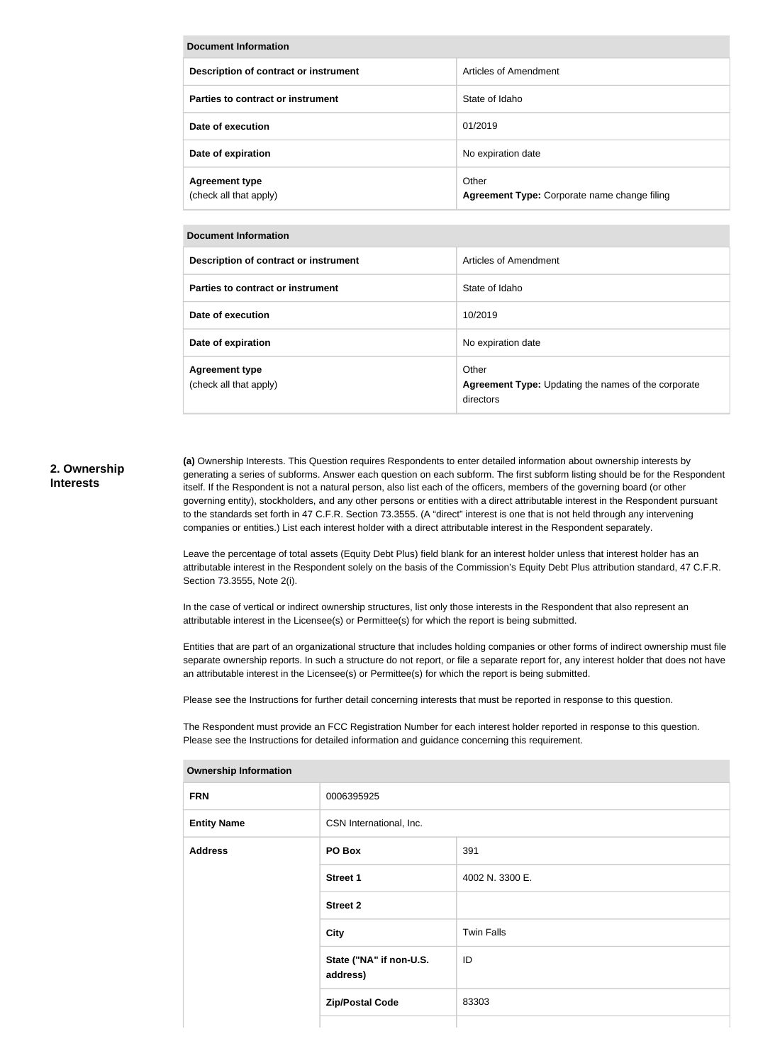| Document Information                            |                                                       |  |
|-------------------------------------------------|-------------------------------------------------------|--|
| Description of contract or instrument           | Articles of Amendment                                 |  |
| Parties to contract or instrument               | State of Idaho                                        |  |
| Date of execution                               | 01/2019                                               |  |
| Date of expiration                              | No expiration date                                    |  |
| <b>Agreement type</b><br>(check all that apply) | Other<br>Agreement Type: Corporate name change filing |  |

| <b>Document Information</b>                     |                                                                           |
|-------------------------------------------------|---------------------------------------------------------------------------|
| Description of contract or instrument           | Articles of Amendment                                                     |
| Parties to contract or instrument               | State of Idaho                                                            |
| Date of execution                               | 10/2019                                                                   |
| Date of expiration                              | No expiration date                                                        |
| <b>Agreement type</b><br>(check all that apply) | Other<br>Agreement Type: Updating the names of the corporate<br>directors |

#### **2. Ownership Interests**

**(a)** Ownership Interests. This Question requires Respondents to enter detailed information about ownership interests by generating a series of subforms. Answer each question on each subform. The first subform listing should be for the Respondent itself. If the Respondent is not a natural person, also list each of the officers, members of the governing board (or other governing entity), stockholders, and any other persons or entities with a direct attributable interest in the Respondent pursuant to the standards set forth in 47 C.F.R. Section 73.3555. (A "direct" interest is one that is not held through any intervening companies or entities.) List each interest holder with a direct attributable interest in the Respondent separately.

Leave the percentage of total assets (Equity Debt Plus) field blank for an interest holder unless that interest holder has an attributable interest in the Respondent solely on the basis of the Commission's Equity Debt Plus attribution standard, 47 C.F.R. Section 73.3555, Note 2(i).

In the case of vertical or indirect ownership structures, list only those interests in the Respondent that also represent an attributable interest in the Licensee(s) or Permittee(s) for which the report is being submitted.

Entities that are part of an organizational structure that includes holding companies or other forms of indirect ownership must file separate ownership reports. In such a structure do not report, or file a separate report for, any interest holder that does not have an attributable interest in the Licensee(s) or Permittee(s) for which the report is being submitted.

Please see the Instructions for further detail concerning interests that must be reported in response to this question.

The Respondent must provide an FCC Registration Number for each interest holder reported in response to this question. Please see the Instructions for detailed information and guidance concerning this requirement.

| ווטוומושוווטווומנוסודי א |                                     |                   |
|--------------------------|-------------------------------------|-------------------|
| <b>FRN</b>               | 0006395925                          |                   |
| <b>Entity Name</b>       | CSN International, Inc.             |                   |
| <b>Address</b>           | PO Box                              | 391               |
|                          | <b>Street 1</b>                     | 4002 N. 3300 E.   |
|                          | <b>Street 2</b>                     |                   |
|                          | City                                | <b>Twin Falls</b> |
|                          | State ("NA" if non-U.S.<br>address) | ID                |
|                          | <b>Zip/Postal Code</b>              | 83303             |
|                          |                                     |                   |

**Ownership Information**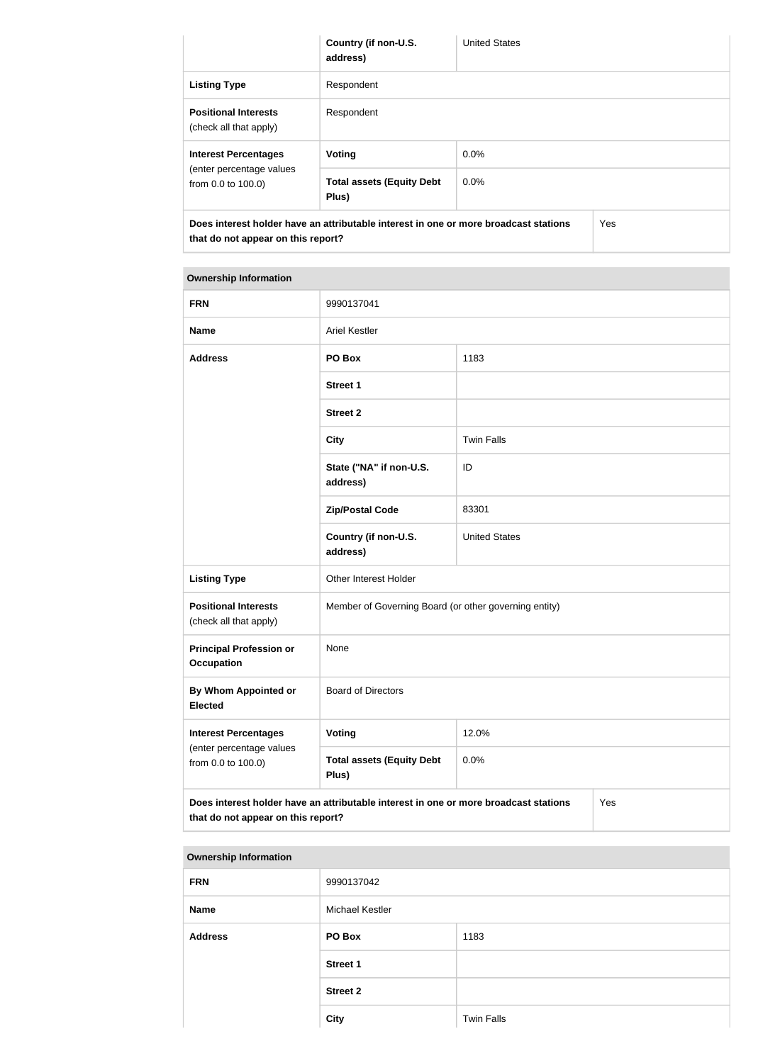|                                                       | Country (if non-U.S.<br>address)                                                     | <b>United States</b> |     |
|-------------------------------------------------------|--------------------------------------------------------------------------------------|----------------------|-----|
| <b>Listing Type</b>                                   | Respondent                                                                           |                      |     |
| <b>Positional Interests</b><br>(check all that apply) | Respondent                                                                           |                      |     |
| <b>Interest Percentages</b>                           | Voting                                                                               | 0.0%                 |     |
| (enter percentage values<br>from 0.0 to 100.0)        | <b>Total assets (Equity Debt</b><br>Plus)                                            | $0.0\%$              |     |
| that do not appear on this report?                    | Does interest holder have an attributable interest in one or more broadcast stations |                      | Yes |

#### **Ownership Information**

| <b>FRN</b>                                                                                                                        | 9990137041                                            |                      |  |
|-----------------------------------------------------------------------------------------------------------------------------------|-------------------------------------------------------|----------------------|--|
| <b>Name</b>                                                                                                                       | <b>Ariel Kestler</b>                                  |                      |  |
| <b>Address</b>                                                                                                                    | PO Box                                                | 1183                 |  |
|                                                                                                                                   | <b>Street 1</b>                                       |                      |  |
|                                                                                                                                   | <b>Street 2</b>                                       |                      |  |
|                                                                                                                                   | <b>City</b>                                           | <b>Twin Falls</b>    |  |
|                                                                                                                                   | State ("NA" if non-U.S.<br>address)                   | ID                   |  |
|                                                                                                                                   | <b>Zip/Postal Code</b>                                | 83301                |  |
|                                                                                                                                   | Country (if non-U.S.<br>address)                      | <b>United States</b> |  |
| <b>Listing Type</b>                                                                                                               | Other Interest Holder                                 |                      |  |
| <b>Positional Interests</b><br>(check all that apply)                                                                             | Member of Governing Board (or other governing entity) |                      |  |
| <b>Principal Profession or</b><br><b>Occupation</b>                                                                               | None                                                  |                      |  |
| By Whom Appointed or<br><b>Elected</b>                                                                                            | <b>Board of Directors</b>                             |                      |  |
| <b>Interest Percentages</b>                                                                                                       | <b>Voting</b>                                         | 12.0%                |  |
| (enter percentage values<br>from 0.0 to 100.0)                                                                                    | <b>Total assets (Equity Debt</b><br>Plus)             | 0.0%                 |  |
| Does interest holder have an attributable interest in one or more broadcast stations<br>Yes<br>that do not appear on this report? |                                                       |                      |  |

| <b>Ownership Information</b> |                        |                   |
|------------------------------|------------------------|-------------------|
| <b>FRN</b>                   | 9990137042             |                   |
| <b>Name</b>                  | <b>Michael Kestler</b> |                   |
| <b>Address</b>               | PO Box                 | 1183              |
|                              | <b>Street 1</b>        |                   |
|                              | <b>Street 2</b>        |                   |
|                              | <b>City</b>            | <b>Twin Falls</b> |